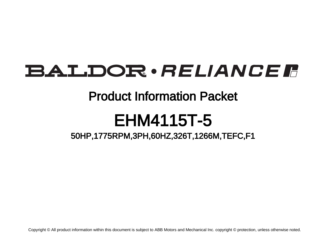# BALDOR · RELIANCE F

### Product Information Packet

## EHM4115T-5

### 50HP,1775RPM,3PH,60HZ,326T,1266M,TEFC,F1

Copyright © All product information within this document is subject to ABB Motors and Mechanical Inc. copyright © protection, unless otherwise noted.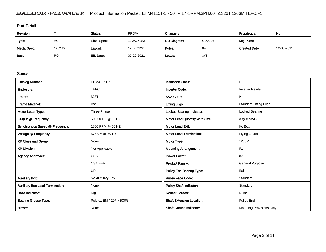#### BALDOR · RELIANCE F Product Information Packet: EHM4115T-5 - 50HP,1775RPM,3PH,60HZ,326T,1266M,TEFC,F1

| <b>Part Detail</b> |           |             |            |             |        |                      |            |  |
|--------------------|-----------|-------------|------------|-------------|--------|----------------------|------------|--|
| Revision:          |           | Status:     | PRD/A      | Change #:   |        | Proprietary:         | No         |  |
| Type:              | AC        | Elec. Spec: | 12WGX283   | CD Diagram: | CD0006 | Mfg Plant:           |            |  |
| Mech. Spec:        | 12G122    | Layout:     | 12LYG122   | Poles:      | 04     | <b>Created Date:</b> | 12-05-2011 |  |
| Base:              | <b>RG</b> | Eff. Date:  | 07-20-2021 | Leads:      | 3#8    |                      |            |  |

| <b>Specs</b>                           |                         |                                  |                              |
|----------------------------------------|-------------------------|----------------------------------|------------------------------|
| <b>Catalog Number:</b>                 | EHM4115T-5              | <b>Insulation Class:</b>         | F                            |
| Enclosure:                             | <b>TEFC</b>             | <b>Inverter Code:</b>            | <b>Inverter Ready</b>        |
| Frame:                                 | 326T                    | <b>KVA Code:</b>                 | H                            |
| <b>Frame Material:</b>                 | Iron                    | <b>Lifting Lugs:</b>             | <b>Standard Lifting Lugs</b> |
| Motor Letter Type:                     | Three Phase             | Locked Bearing Indicator:        | Locked Bearing               |
| Output @ Frequency:                    | 50.000 HP @ 60 HZ       | Motor Lead Quantity/Wire Size:   | 3 @ 8 AWG                    |
| Synchronous Speed @ Frequency:         | 1800 RPM @ 60 HZ        | <b>Motor Lead Exit:</b>          | Ko Box                       |
| Voltage @ Frequency:                   | 575.0 V @ 60 HZ         | <b>Motor Lead Termination:</b>   | Flying Leads                 |
| XP Class and Group:                    | None                    | Motor Type:                      | 1266M                        |
| <b>XP Division:</b>                    | Not Applicable          | <b>Mounting Arrangement:</b>     | F1                           |
| <b>Agency Approvals:</b>               | <b>CSA</b>              | <b>Power Factor:</b>             | 87                           |
|                                        | <b>CSA EEV</b>          | <b>Product Family:</b>           | <b>General Purpose</b>       |
|                                        | <b>UR</b>               | <b>Pulley End Bearing Type:</b>  | Ball                         |
| <b>Auxillary Box:</b>                  | No Auxillary Box        | <b>Pulley Face Code:</b>         | Standard                     |
| <b>Auxillary Box Lead Termination:</b> | None                    | <b>Pulley Shaft Indicator:</b>   | Standard                     |
| <b>Base Indicator:</b>                 | Rigid                   | <b>Rodent Screen:</b>            | None                         |
| <b>Bearing Grease Type:</b>            | Polyrex EM (-20F +300F) | <b>Shaft Extension Location:</b> | <b>Pulley End</b>            |
| Blower:                                | None                    | <b>Shaft Ground Indicator:</b>   | Mounting Provisions Only     |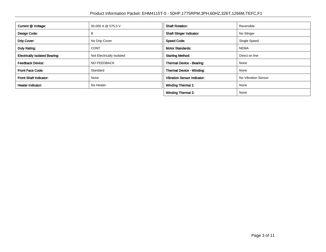| Current @ Voltage:                    | 50.000 A @ 575.0 V        | <b>Shaft Rotation:</b>             | Reversible          |
|---------------------------------------|---------------------------|------------------------------------|---------------------|
| Design Code:                          | в                         | <b>Shaft Slinger Indicator:</b>    | No Slinger          |
| Drip Cover:                           | No Drip Cover             | <b>Speed Code:</b>                 | Single Speed        |
| Duty Rating:                          | <b>CONT</b>               | <b>Motor Standards:</b>            | <b>NEMA</b>         |
| <b>Electrically Isolated Bearing:</b> | Not Electrically Isolated | <b>Starting Method:</b>            | Direct on line      |
| <b>Feedback Device:</b>               | <b>NO FEEDBACK</b>        | Thermal Device - Bearing:          | None                |
| <b>Front Face Code:</b>               | Standard                  | Thermal Device - Winding:          | None                |
| Front Shaft Indicator:                | None                      | <b>Vibration Sensor Indicator:</b> | No Vibration Sensor |
| Heater Indicator:                     | No Heater                 | <b>Winding Thermal 1:</b>          | None                |
|                                       |                           | <b>Winding Thermal 2:</b>          | None                |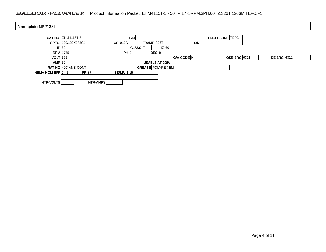#### BALDOR · RELIANCE F Product Information Packet: EHM4115T-5 - 50HP,1775RPM,3PH,60HZ,326T,1266M,TEFC,F1

| Nameplate NP2138L |                            |                           |                                    |
|-------------------|----------------------------|---------------------------|------------------------------------|
|                   | <b>CAT.NO. EHM4115T-5</b>  | P/N                       | <b>ENCLOSURE</b> TEFC              |
|                   | SPEC. 12G122X283G1         | $FRAME$ 326T<br>$CC$ 010A | S/N                                |
| HP 50             |                            | $HZ$ 60<br><b>CLASS F</b> |                                    |
|                   | $RPM$ 1775                 | PH 3<br>DES B             |                                    |
| <b>VOLT</b> 575   |                            | KVA-CODE H                | DE BRG 6312<br><b>ODE BRG</b> 6311 |
| $AMP$ 50          |                            | USABLE AT 208V            |                                    |
|                   | <b>RATING 40C AMB-CONT</b> | <b>GREASE POLYREX EM</b>  |                                    |
| NEMA-NOM-EFF 94.5 | PF 87                      | <b>SER.F.</b> $1.15$      |                                    |
|                   |                            |                           |                                    |
| <b>HTR-VOLTS</b>  | HTR-AMPS                   |                           |                                    |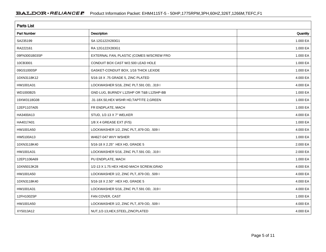| <b>Parts List</b>  |                                           |          |  |  |  |  |
|--------------------|-------------------------------------------|----------|--|--|--|--|
| <b>Part Number</b> | Description                               | Quantity |  |  |  |  |
| SA235199           | SA 12G122X283G1                           | 1.000 EA |  |  |  |  |
| RA222161           | RA 12G122X283G1                           | 1.000 EA |  |  |  |  |
| 09FN3001B03SP      | EXTERNAL FAN, PLASTIC (COMES W/SCREW FRO  | 1.000 EA |  |  |  |  |
| 10CB3001           | CONDUIT BOX CAST W/2.500 LEAD HOLE        | 1.000 EA |  |  |  |  |
| 09GS1000SP         | GASKET-CONDUIT BOX, 1/16 THICK LEXIDE     | 1.000 EA |  |  |  |  |
| 10XN3118K12        | 5/16-18 X .75 GRADE 5, ZINC PLATED        | 4.000 EA |  |  |  |  |
| HW1001A31          | LOCKWASHER 5/16, ZINC PLT.591 OD, .319 I  | 4.000 EA |  |  |  |  |
| WD1000B25          | GND LUG, BURNDY L125HP OR T&B L125HP-BB   | 1.000 EA |  |  |  |  |
| 19XW3118G08        | .31-18X.50, HEX WSHR HD, TAPTITE 2, GREEN | 1.000 EA |  |  |  |  |
| 12EP1107A05        | FR ENDPLATE, MACH                         | 1.000 EA |  |  |  |  |
| HA3400A13          | STUD, 1/2-13 X 7" WELKER                  | 4.000 EA |  |  |  |  |
| HA4017A01          | 1/8 X 4 GREASE EXT (F/S)                  | 1.000 EA |  |  |  |  |
| HW1001A50          | LOCKWASHER 1/2, ZINC PLT, 879 OD, .509 I  | 4.000 EA |  |  |  |  |
| HW5100A13          | W4627-047 WVY WSHER                       | 1.000 EA |  |  |  |  |
| 10XN3118K40        | 5/16-18 X 2.25" HEX HD, GRADE 5           | 2.000 EA |  |  |  |  |
| HW1001A31          | LOCKWASHER 5/16, ZINC PLT.591 OD, .319 I  | 2.000 EA |  |  |  |  |
| 12EP1106A69        | PU ENDPLATE, MACH                         | 1.000 EA |  |  |  |  |
| 10XN5013K28        | 1/2-13 X 1.75 HEX HEAD MACH SCREW, GRAD   | 4.000 EA |  |  |  |  |
| HW1001A50          | LOCKWASHER 1/2, ZINC PLT, 879 OD, .509 I  | 4.000 EA |  |  |  |  |
| 10XN3118K40        | 5/16-18 X 2.50" HEX HD, GRADE 5           | 4.000 EA |  |  |  |  |
| HW1001A31          | LOCKWASHER 5/16, ZINC PLT.591 OD, .319 I  | 4.000 EA |  |  |  |  |
| 12FH1002SP         | FAN COVER, CAST                           | 1.000 EA |  |  |  |  |
| HW1001A50          | LOCKWASHER 1/2, ZINC PLT, 879 OD, .509 I  | 4.000 EA |  |  |  |  |
| XY5013A12          | NUT, 1/2-13, HEX, STEEL, ZINCPLATED       | 4.000 EA |  |  |  |  |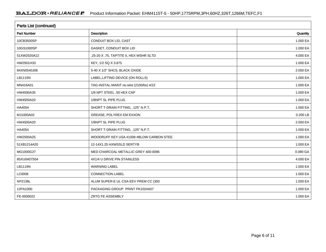| <b>Parts List (continued)</b> |                                          |          |  |  |  |  |
|-------------------------------|------------------------------------------|----------|--|--|--|--|
| <b>Part Number</b>            | Description                              | Quantity |  |  |  |  |
| 10CB3500SP                    | CONDUIT BOX LID, CAST                    | 1.000 EA |  |  |  |  |
| 10GS1000SP                    | GASKET, CONDUIT BOX LID                  | 1.000 EA |  |  |  |  |
| 51XW2520A12                   | .25-20 X .75, TAPTITE II, HEX WSHR SLTD  | 4.000 EA |  |  |  |  |
| HW2501H33                     | KEY, 1/2 SQ X 3.875                      | 1.000 EA |  |  |  |  |
| 84XN0540J08                   | 5-40 X 1/2" SHCS, BLACK OXIDE            | 2.000 EA |  |  |  |  |
| LB1115N                       | LABEL, LIFTING DEVICE (ON ROLLS)         | 1.000 EA |  |  |  |  |
| MN416A01                      | TAG-INSTAL-MAINT no wire (2100/bx) 4/22  | 1.000 EA |  |  |  |  |
| HW4500A35                     | 1/8 NPT STEEL .50 HEX CAP                | 1.000 EA |  |  |  |  |
| HW4500A20                     | 1/8NPT SL PIPE PLUG                      | 1.000 EA |  |  |  |  |
| HA4054                        | SHORT T-DRAIN FITTING, .125" N.P.T.      | 1.000 EA |  |  |  |  |
| MJ1000A02                     | GREASE, POLYREX EM EXXON                 | 0.200 LB |  |  |  |  |
| HW4500A20                     | 1/8NPT SL PIPE PLUG                      | 2.000 EA |  |  |  |  |
| HA4054                        | SHORT T-DRAIN FITTING, .125" N.P.T.      | 1.000 EA |  |  |  |  |
| HW2500A25                     | WOODRUFF KEY USA #1008 #BLOW CARBON STEE | 1.000 EA |  |  |  |  |
| 51XB1214A20                   | 12-14X1.25 HXWSSLD SERTYB                | 1.000 EA |  |  |  |  |
| MG1000G27                     | MED CHARCOAL METALLIC GREY 400-0096      | 0.080 GA |  |  |  |  |
| 85XU0407S04                   | 4X1/4 U DRIVE PIN STAINLESS              | 4.000 EA |  |  |  |  |
| LB1119N                       | <b>WARNING LABEL</b>                     | 1.000 EA |  |  |  |  |
| LC0006                        | <b>CONNECTION LABEL</b>                  | 1.000 EA |  |  |  |  |
| <b>NP2138L</b>                | ALUM SUPER-E UL CSA-EEV PREM CC (300     | 1.000 EA |  |  |  |  |
| 12PA1000                      | PACKAGING GROUP PRINT PK1024A07          | 1.000 EA |  |  |  |  |
| FE-0000022                    | ZRTG FE ASSEMBLY                         | 1.000 EA |  |  |  |  |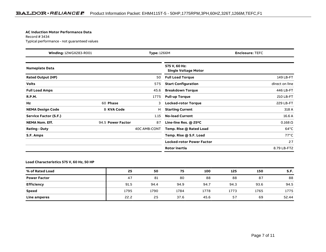#### **AC Induction Motor Performance Data**

Record # 3434Typical performance - not guaranteed values

| Winding: 12WGX283-R001<br><b>Type: 1266M</b> |                   | <b>Enclosure: TEFC</b> |                                              |                 |
|----------------------------------------------|-------------------|------------------------|----------------------------------------------|-----------------|
| <b>Nameplate Data</b>                        |                   |                        | 575 V, 60 Hz:<br><b>Single Voltage Motor</b> |                 |
| <b>Rated Output (HP)</b>                     |                   | 50                     | <b>Full Load Torque</b>                      | 149 LB-FT       |
| <b>Volts</b>                                 |                   | 575                    | <b>Start Configuration</b>                   | direct on line  |
| <b>Full Load Amps</b>                        |                   | 45.6                   | <b>Breakdown Torque</b>                      | 446 LB-FT       |
| <b>R.P.M.</b>                                |                   | 1775                   | <b>Pull-up Torque</b>                        | 210 LB-FT       |
| Hz                                           | 60 Phase          | 3                      | <b>Locked-rotor Torque</b>                   | 229 LB-FT       |
| <b>NEMA Design Code</b>                      | <b>B KVA Code</b> | н                      | <b>Starting Current</b>                      | 318 A           |
| Service Factor (S.F.)                        |                   | 1.15                   | <b>No-load Current</b>                       | 16.6 A          |
| <b>NEMA Nom. Eff.</b>                        | 94.5 Power Factor | 87                     | Line-line Res. $@$ 25 $°C$                   | $0.168\ \Omega$ |
| <b>Rating - Duty</b>                         |                   | 40C AMB-CONT           | Temp. Rise @ Rated Load                      | $64^{\circ}$ C  |
| S.F. Amps                                    |                   |                        | Temp. Rise @ S.F. Load                       | $77^{\circ}$ C  |
|                                              |                   |                        | <b>Locked-rotor Power Factor</b>             | 27              |
|                                              |                   |                        | <b>Rotor inertia</b>                         | 8.79 LB-FT2     |

#### **Load Characteristics 575 V, 60 Hz, 50 HP**

| % of Rated Load     | 25   | 50   | 75   | 100  | 125  | 150  | S.F.  |
|---------------------|------|------|------|------|------|------|-------|
| <b>Power Factor</b> | 47   | 81   | 80   | 88   | 88   | 87   | 88    |
| <b>Efficiency</b>   | 91.5 | 94.4 | 94.9 | 94.7 | 94.3 | 93.6 | 94.5  |
| <b>Speed</b>        | 1795 | 1790 | 1784 | 1778 | 1773 | 1765 | 1775  |
| Line amperes        | 22.2 | 25   | 37.6 | 45.6 | 57   | 69   | 52.44 |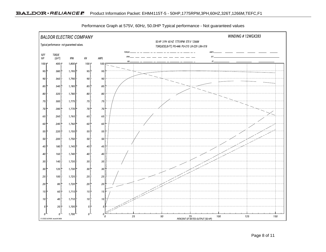

Performance Graph at 575V, 60Hz, 50.0HP Typical performance - Not guaranteed values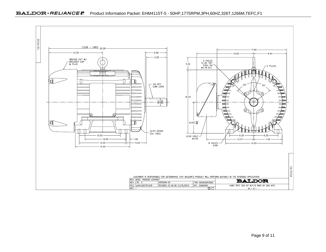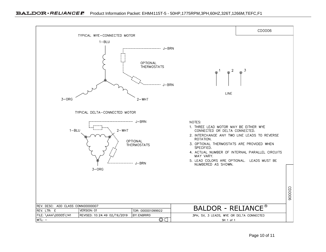